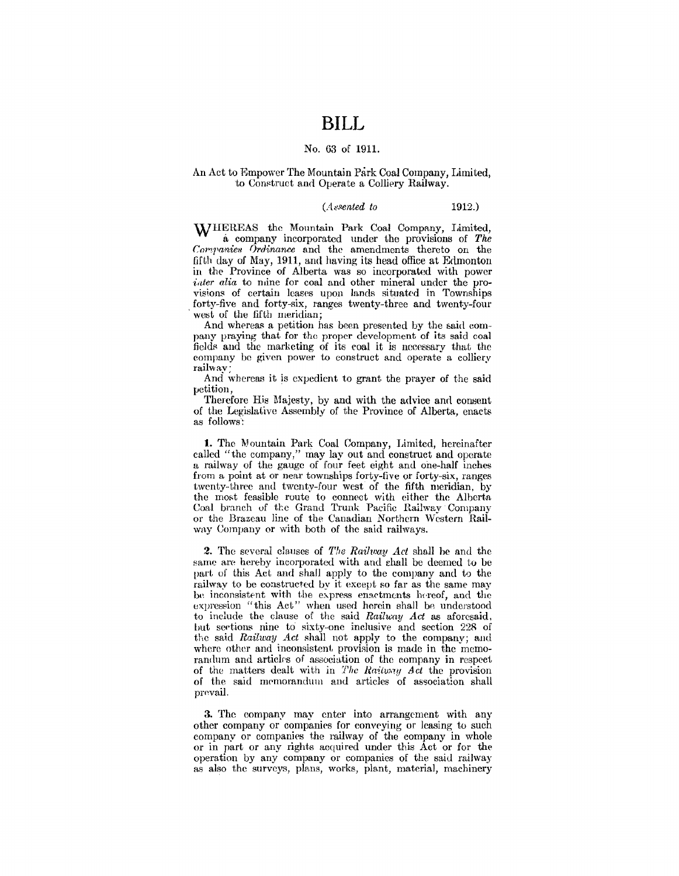### **BILL**

#### No. 63 of 1911.

#### An Act to Empower The Mountain Park Coal Company, Limited, to Construct and Operate a Colliery Railway.

#### (*Assented to* 1912.)

WHEREAS the Mountain Park Coal Company, Limited, a company incorporated under the provisions of *The Companies Ordinance* and the amendments thereto on the fifth day of May, 1911, and having its head office at Erlrnonton in the Province of Alberta was so incorporated with power *icder alia* to mine for coal and other mineral under the provisions of certain leases upon lands situated in Townships forty-five and forty-six, ranges twenty-three and twenty-four west of the fifth meridian;<br>And whereas a petition has been presented by the said com-

pany praying that for the proper development of its said coal fields and the marketing of its coal it is necessary that the company be given power to construct and operate a colliery railway;

And whereas it is expedient to grant the prayer of the said petition,

Therefore His Majesty, by and with the advice and consent of the Legislative Assembly of the Province of Alberta, enacts as follows:

**l.** The Mountain Park Coal Company, Limited, hereinafter called "the company," may lay out and construct and operate a railway of the gauge of four feet eight and one-half inches from a point at or near townships forty-five or forty-six, ranges twenty-three and twenty-four west of the fifth meridian, by the most feasible route to connect with either the Alberta. Coal branch of the Grand Trunk Pacific Railway Company or the Brazeau line of the Canadian Northern Western Railway Company or with both of the said railways.

2. The several clauses of *The Raihoay Act* shall be and the same are hereby incorporated with and shall be deemed to be part of this Act and shall apply to the company and to the railway to be constructed by it except so far as the same may be inconsistent with the express enactments hereof, and the expression "this Act" when used herein shall be understood to include the clause of the said *Railway Act* as aforesaid, but sections nine to sixty-one inclusive and section 228 of the said *Railway Act* shall not apply to the company; and where other and inconsistent provision is made in the memorandum and articles of association of the company in respect of the matters dealt with in *The Raitway Act* the provision of the said memorandum and articles of association shall prevail.

3. The company may enter into arrangement with any other company or companies for conveying or leasing to such company or companies the railway of the company in whole or in part or any rights acquired under this Act or for the operation by any company or companies of the said railway as also the surveys, plans, works, plant, material, machinery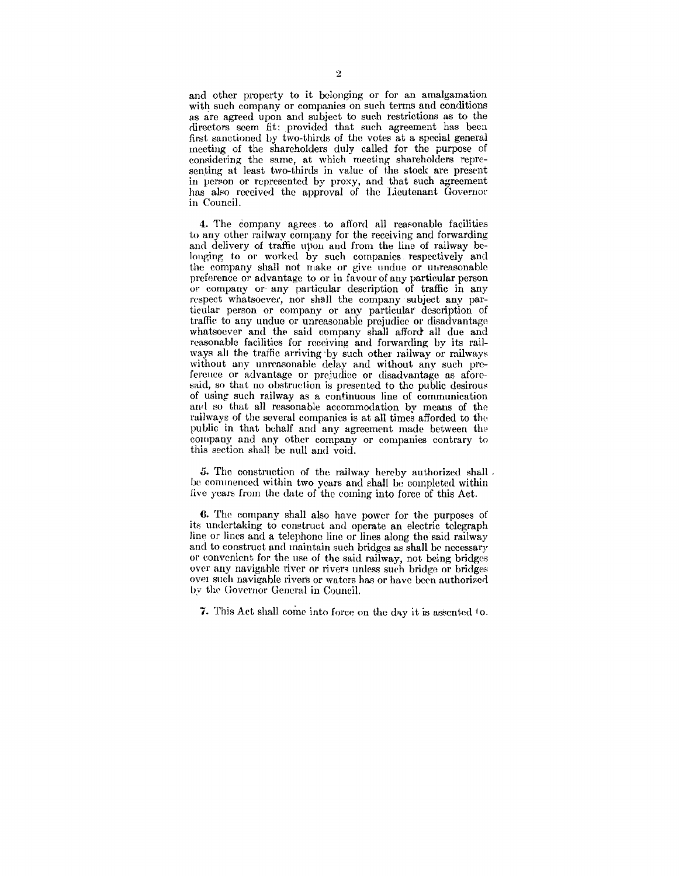and other property to it belonging or for an amalgamation with such company or companies on such terms and conditions as are agreed upon and subject to such restrictions as to the directors seem fit: provided that such agreement has been first sanctioned by two-thirds of the votes at a special general meeting of the shareholders duly called for the purpose of considering the same, at which meeting shareholders representing at least two-thirds in value of the stock are present in person or represented by proxy, and that such agreement has also received the approval of the Lieutenant Governor in Council.

4. The company agrees to afford all reasonable facilities to any other railway company for the receiving and forwarding and delivery of traffic upon and from the line of railway belonging to or worked by such companies respectively and the company shall not make or give undue or unreasonable preference or advantage to or in favour of any particular person or company or any particular description of traffic in any respect whatsoever, nor shall the company subject any particular person or company or any particular description of traffic to any undue or unreasonable prejudice or disadvantage whatsoever and the said company shall afford all due and reasonable facilities for receiving and forwarding by its railways all the traffic arriving by such other railway or railways without any unreasonable delay and without any such prefereuce or advantage or prejudice or disadvantage as aforesaid, so that no obstruction is presented to the public desirous of using such railway as a eontinuous line of communication and so that all reasonable accommodation by means of the railways of the several companies is at all times afforded to the, public in that behalf and any agreement made between the company and any other company or companies contrary to this section shall be null and void.

5. The construction of the railway hereby authorized shall. be commenced within two years and shall be completed within five years from the date of the coming into force of this Act.

6. The eompany shall also have power for the purposes of its undertaking to construct and operate an electric telegraph line or lines and a telephone line or lines along the said railway and to construct and maintain such bridges as shall be necessary or convenient for the use of the said railway, not being bridges over any navigable river or rivers unless such bridge or bridges over such navigable rivers or waters has or have been authorized by the Governor General in Council.

7. This Act shall come into force on the day it is assented to.